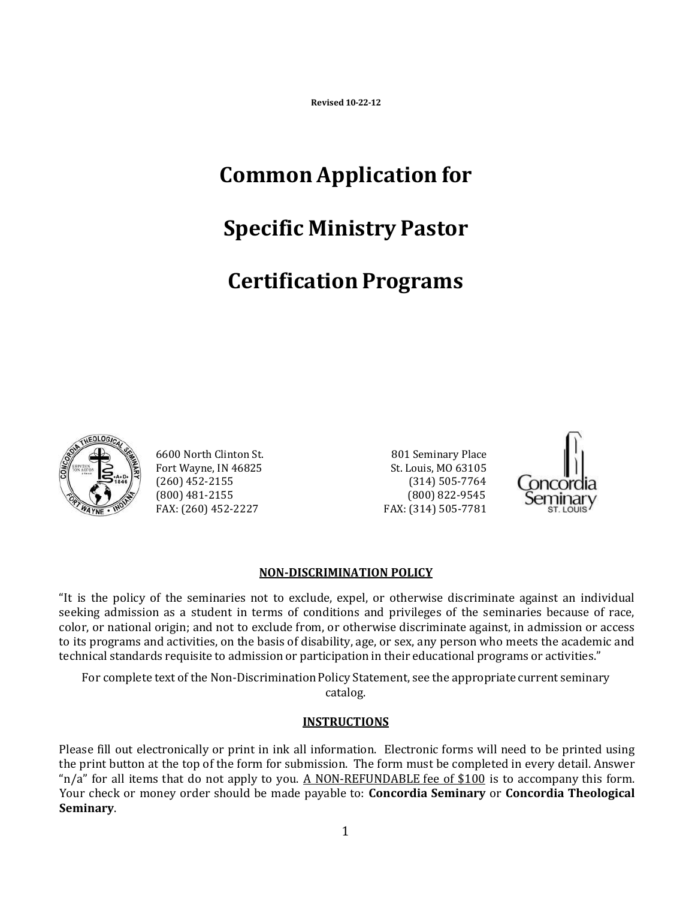**Revised 10-22-12**

# **Common Application for**

# **Specific Ministry Pastor**

# **Certification Programs**



6600 North Clinton St. Fort Wayne, IN 46825 (260) 452‐2155 (314) 505‐7764 FAX: (260) 452-2227

801 Seminary Place St. Louis, MO 63105 (800) 822-9545<br>FAX: (314) 505-7781



#### **NON-DISCRIMINATION POLICY**

"It is the policy of the seminaries not to exclude, expel, or otherwise discriminate against an individual seeking admission as a student in terms of conditions and privileges of the seminaries because of race, color, or national origin; and not to exclude from, or otherwise discriminate against, in admission or access to its programs and activities, on the basis of disability, age, or sex, any person who meets the academic and technical standards requisite to admission or participation in their educational programs or activities."

For complete text of the Non-Discrimination Policy Statement, see the appropriate current seminary catalog.

#### **INSTRUCTIONS**

Please fill out electronically or print in ink all information. Electronic forms will need to be printed using the print button at the top of the form for submission. The form must be completed in every detail. Answer " $n/a$ " for all items that do not apply to you. A NON-REFUNDABLE fee of \$100 is to accompany this form. Your check or money order should be made payable to: **Concordia Seminary** or **Concordia Theological Seminary**.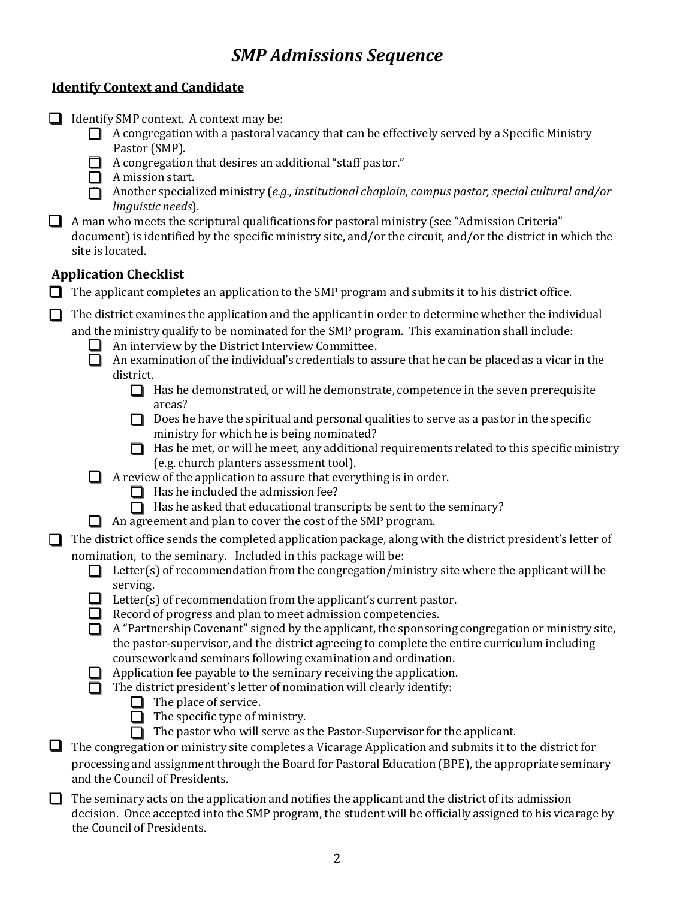# *SMP Admissions Sequence*

## **Identify Context and Candidate**

Identify SMP context. A context may be:

- □ A congregation with a pastoral vacancy that can be effectively served by a Specific Ministry Pastor (SMP).
- A congregation that desires an additional "staff pastor."
- $\Box$  A mission start.
- Another specialized ministry (*e.g., institutional chaplain, campus pastor, special cultural and/or* q *linguistic needs*).
- A man who meets the scriptural qualifications for pastoral ministry (see "Admission Criteria" q document) is identified by the specific ministry site, and/or the circuit, and/or the district in which the site is located.

## **Application Checklist**

- $\Box$  The applicant completes an application to the SMP program and submits it to his district office.
- $\Box$  The district examines the application and the applicant in order to determine whether the individual
	- and the ministry qualify to be nominated for the SMP program. This examination shall include:
		- An interview by the District Interview Committee.
		- $\Box$  An examination of the individual's credentials to assure that he can be placed as a vicar in the district.
			- $\Box$  Has he demonstrated, or will he demonstrate, competence in the seven prerequisite areas?
			- $\Box$  Does he have the spiritual and personal qualities to serve as a pastor in the specific ministry for which he is being nominated?
			- $\Box$  Has he met, or will he meet, any additional requirements related to this specific ministry (e.g. church planters assessment tool).
		- A review of the application to assure that everything is in order.
			- **Has he included the admission fee?**
			- $\Box$  Has he asked that educational transcripts be sent to the seminary?
		- **An agreement and plan to cover the cost of the SMP program.**
- The district office sends the completed application package, along with the district president's letter of nomination, to the seminary. Included in this package will be:
	- **T** Letter(s) of recommendation from the congregation/ministry site where the applicant will be serving.
	- $\Box$  Letter(s) of recommendation from the applicant's current pastor.
	- Record of progress and plan to meet admission competencies.
	- A "Partnership Covenant" signed by the applicant, the sponsoring congregation or ministry site, q the pastor‐supervisor, and the district agreeing to complete the entire curriculum including coursework and seminars following examination and ordination.
	- **Q** Application fee payable to the seminary receiving the application.
	- The district president's letter of nomination will clearly identify:
		- $\Box$  The place of service.
		- $\Box$  The specific type of ministry.
		- $\Box$  The pastor who will serve as the Pastor-Supervisor for the applicant.
- $\Box$  The congregation or ministry site completes a Vicarage Application and submits it to the district for processing and assignment through the Board for Pastoral Education (BPE), the appropriate seminary and the Council of Presidents.
- **The seminary acts on the application and notifies the applicant and the district of its admission** decision. Once accepted into the SMP program, the student will be officially assigned to his vicarage by the Council of Presidents.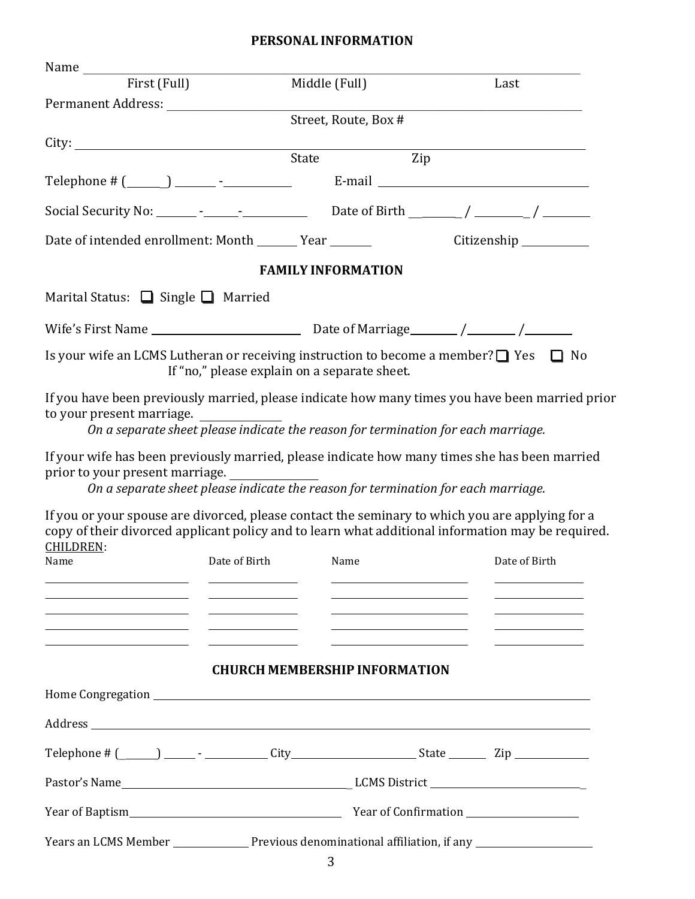# **PERSONAL INFORMATION**

| Name $\frac{1}{\sqrt{1-\frac{1}{2}}\cdot\frac{1}{2}}$                                                                                                                                                                          |                                                  |                                                                                   |                                                                                                                          |                         |
|--------------------------------------------------------------------------------------------------------------------------------------------------------------------------------------------------------------------------------|--------------------------------------------------|-----------------------------------------------------------------------------------|--------------------------------------------------------------------------------------------------------------------------|-------------------------|
| First (Full)                                                                                                                                                                                                                   |                                                  | Middle (Full)                                                                     |                                                                                                                          | Last                    |
|                                                                                                                                                                                                                                |                                                  |                                                                                   |                                                                                                                          |                         |
|                                                                                                                                                                                                                                |                                                  | Street, Route, Box #                                                              |                                                                                                                          |                         |
|                                                                                                                                                                                                                                |                                                  | State                                                                             | Zip                                                                                                                      |                         |
| Telephone # $(\_\_\_\_$ $\_\_\_\_$ $\_\_\_$ $\_\_$ $\_\_$ $\_\_$ E-mail $\_\_\_\_\_$                                                                                                                                           |                                                  |                                                                                   |                                                                                                                          |                         |
| Social Security No: _________________________________Date of Birth _________/ _________/ ___________                                                                                                                           |                                                  |                                                                                   |                                                                                                                          |                         |
| Date of intended enrollment: Month ________ Year _______                                                                                                                                                                       |                                                  |                                                                                   |                                                                                                                          | Citizenship ___________ |
|                                                                                                                                                                                                                                |                                                  | <b>FAMILY INFORMATION</b>                                                         |                                                                                                                          |                         |
| Marital Status: $\Box$ Single $\Box$ Married                                                                                                                                                                                   |                                                  |                                                                                   |                                                                                                                          |                         |
|                                                                                                                                                                                                                                |                                                  |                                                                                   |                                                                                                                          |                         |
| Is your wife an LCMS Lutheran or receiving instruction to become a member? $\Box$ Yes $\Box$ No                                                                                                                                |                                                  | If "no," please explain on a separate sheet.                                      |                                                                                                                          |                         |
| If you have been previously married, please indicate how many times you have been married prior<br>to your present marriage.                                                                                                   |                                                  | On a separate sheet please indicate the reason for termination for each marriage. |                                                                                                                          |                         |
| If your wife has been previously married, please indicate how many times she has been married<br>prior to your present marriage.                                                                                               |                                                  | On a separate sheet please indicate the reason for termination for each marriage. |                                                                                                                          |                         |
| If you or your spouse are divorced, please contact the seminary to which you are applying for a<br>copy of their divorced applicant policy and to learn what additional information may be required.<br><b>CHILDREN:</b>       |                                                  |                                                                                   |                                                                                                                          |                         |
| Name                                                                                                                                                                                                                           | Date of Birth                                    | Name                                                                              |                                                                                                                          | Date of Birth           |
| <u> 1989 - Johann Harry Harry Harry Harry Harry Harry Harry Harry Harry Harry Harry Harry Harry Harry Harry Harry</u>                                                                                                          |                                                  |                                                                                   | <u> 1989 - Andrea Stadt Britain, amerikansk politiker (</u>                                                              |                         |
| the control of the control of the control of the control of the control of<br><u> 1989 - Johann Stein, mars an de Frankryk († 1958)</u>                                                                                        | <u> Alexander (Alexander Alexander Alexander</u> |                                                                                   | the control of the control of the control of the control of<br><u> 1989 - Andrea Stadt Britain, amerikansk politik (</u> |                         |
|                                                                                                                                                                                                                                |                                                  | <b>CHURCH MEMBERSHIP INFORMATION</b>                                              | <u> 1989 - Johann Barn, mars et al. (b. 1989)</u>                                                                        |                         |
|                                                                                                                                                                                                                                |                                                  |                                                                                   |                                                                                                                          |                         |
| Address and the contract of the contract of the contract of the contract of the contract of the contract of the contract of the contract of the contract of the contract of the contract of the contract of the contract of th |                                                  |                                                                                   |                                                                                                                          |                         |
|                                                                                                                                                                                                                                |                                                  |                                                                                   |                                                                                                                          |                         |
|                                                                                                                                                                                                                                |                                                  |                                                                                   |                                                                                                                          |                         |
|                                                                                                                                                                                                                                |                                                  |                                                                                   |                                                                                                                          |                         |
| Years an LCMS Member _________________Previous denominational affiliation, if any _________________                                                                                                                            |                                                  |                                                                                   |                                                                                                                          |                         |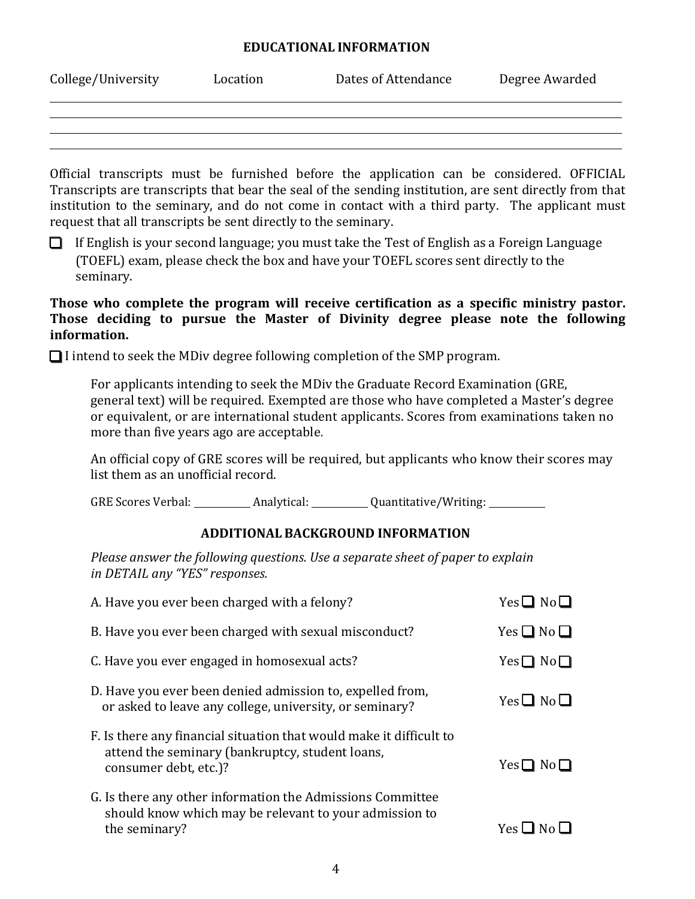#### **EDUCATIONAL INFORMATION**

| College/University | Location | Dates of Attendance | Degree Awarded |
|--------------------|----------|---------------------|----------------|
|                    |          |                     |                |
|                    |          |                     |                |

Official transcripts must be furnished before the application can be considered. OFFICIAL Transcripts are transcripts that bear the seal of the sending institution, are sent directly from that institution to the seminary, and do not come in contact with a third party. The applicant must request that all transcripts be sent directly to the seminary.

 $\Box$  If English is your second language; you must take the Test of English as a Foreign Language (TOEFL) exam, please check the box and have your TOEFL scores sent directly to the seminary.

**Those who complete the program will receive certification as a specific ministry pastor. Those deciding to pursue the Master of Divinity degree please note the following information.**

 $\Box$  I intend to seek the MDiv degree following completion of the SMP program.

For applicants intending to seek the MDiv the Graduate Record Examination (GRE, general text) will be required. Exempted are those who have completed a Master's degree or equivalent, or are international student applicants. Scores from examinations taken no more than five years ago are acceptable.

An official copy of GRE scores will be required, but applicants who know their scores may list them as an unofficial record.

GRE Scores Verbal: Analytical: Quantitative/Writing:

## **ADDITIONALBACKGROUND INFORMATION**

*Please answer the following questions. Use a separate sheet of paper to explain in DETAIL any "YES" responses.*

| A. Have you ever been charged with a felony?                                                                                                    | $Yes \Box No \Box$         |
|-------------------------------------------------------------------------------------------------------------------------------------------------|----------------------------|
| B. Have you ever been charged with sexual misconduct?                                                                                           | Yes $\Box$ No $\Box$       |
| C. Have you ever engaged in homosexual acts?                                                                                                    | Yes $\square$ No $\square$ |
| D. Have you ever been denied admission to, expelled from,<br>or asked to leave any college, university, or seminary?                            | $Yes \Box No \Box$         |
| F. Is there any financial situation that would make it difficult to<br>attend the seminary (bankruptcy, student loans,<br>consumer debt, etc.)? | $Yes \Box No \Box$         |
| G. Is there any other information the Admissions Committee<br>should know which may be relevant to your admission to<br>the seminary?           | $Yes \sqcup N$             |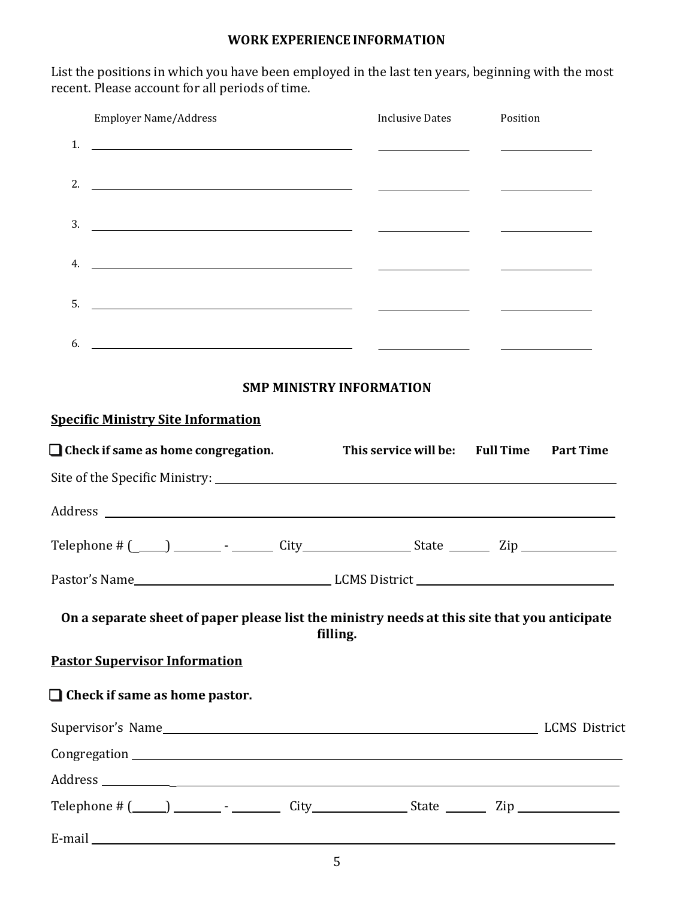#### **WORK EXPERIENCE INFORMATION** recent. Please account for all periods of time.

List the positions in which you have been employed in the last ten years, beginning with the most recent. Please account for all periods of time. List the positions in which you have been employed in the last ten years, beginning with the most recent. Please account for all periods of time. Positions in which you have been employed in the last ten years, beginning with<br>Plance necount for all periods of time

| <b>Employer Name/Address</b>                                                                                               | <b>Inclusive Dates</b>          | Position |                  |
|----------------------------------------------------------------------------------------------------------------------------|---------------------------------|----------|------------------|
|                                                                                                                            |                                 |          |                  |
|                                                                                                                            |                                 |          |                  |
| 2.<br><u> Andreas Andreas Andreas Andreas Andreas Andreas Andreas Andreas Andreas Andreas Andreas Andreas Andreas Andr</u> |                                 |          |                  |
| 3.<br><u> Andreas Andreas Andreas Andreas Andreas Andreas Andreas Andreas Andreas Andreas Andreas Andreas Andreas Andr</u> |                                 |          |                  |
|                                                                                                                            |                                 |          |                  |
|                                                                                                                            |                                 |          |                  |
| 5.<br><u> Andreas Andreas Andreas Andreas Andreas Andreas Andreas Andreas Andreas Andreas Andreas Andreas Andreas Andr</u> |                                 |          |                  |
| 6.                                                                                                                         |                                 |          |                  |
| <u> 1999 - Andrea Maria Alemania, poeta esperanto-</u>                                                                     |                                 |          |                  |
| <b>SMP MINISTRY INFORMATION</b>                                                                                            |                                 |          |                  |
| <b>Specific Ministry Site Information</b>                                                                                  |                                 |          |                  |
| $\Box$ Check if same as home congregation.                                                                                 | This service will be: Full Time |          | <b>Part Time</b> |
|                                                                                                                            |                                 |          |                  |
|                                                                                                                            |                                 |          |                  |
|                                                                                                                            |                                 |          |                  |
|                                                                                                                            |                                 |          |                  |
|                                                                                                                            |                                 |          |                  |
| On a separate sheet of paper please list the ministry needs at this site that you anticipate<br>filling.                   |                                 |          |                  |
| <b>Pastor Supervisor Information</b>                                                                                       |                                 |          |                  |
| $\Box$ Check if same as home pastor.                                                                                       |                                 |          |                  |
|                                                                                                                            |                                 |          |                  |
|                                                                                                                            |                                 |          |                  |
|                                                                                                                            |                                 |          |                  |
|                                                                                                                            |                                 |          |                  |
|                                                                                                                            |                                 |          |                  |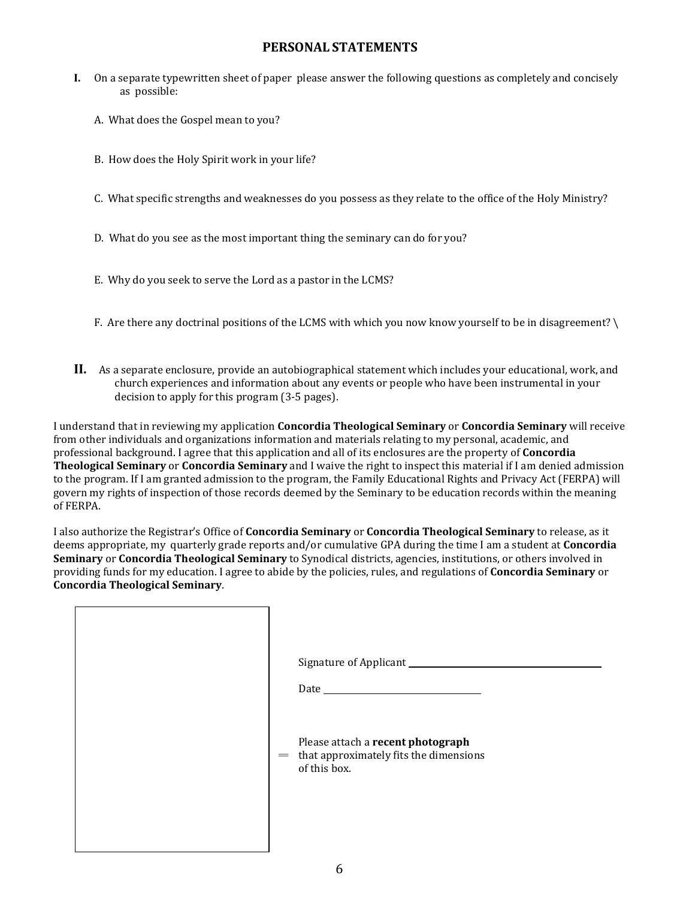#### **PERSONAL STATEMENTS**

- **I.** On a separate typewritten sheet of paper please answer the following questions as completely and concisely as possible:
	- A. What does the Gospel mean to you?
	- B. How does the Holy Spirit work in your life?
	- C. What specific strengths and weaknesses do you possess as they relate to the office of the Holy Ministry?
	- D. What do you see as the most important thing the seminary can do for you?
	- E. Why do you seek to serve the Lord as a pastor in the LCMS?
	- F. Are there any doctrinal positions of the LCMS with which you now know yourself to be in disagreement?  $\setminus$
- **II.** As a separate enclosure, provide an autobiographical statement which includes your educational, work, and church experiences and information about any events or people who have been instrumental in your decision to apply for this program (3‐5 pages).

I understand that in reviewing my application **Concordia Theological Seminary** or **Concordia Seminary** will receive from other individuals and organizations information and materials relating to my personal, academic, and professional background. I agree that this application and all of its enclosures are the property of **Concordia Theological Seminary** or **Concordia Seminary** and I waive the right to inspect this material if I am denied admission to the program. If I am granted admission to the program, the Family Educational Rights and Privacy Act (FERPA) will govern my rights of inspection of those records deemed by the Seminary to be education records within the meaning of FERPA.

I also authorize the Registrar's Office of **Concordia Seminary** or **Concordia Theological Seminary** to release, as it deems appropriate, my quarterly grade reports and/or cumulative GPA during the time I am a student at **Concordia Seminary** or **Concordia Theological Seminary** to Synodical districts, agencies, institutions, or others involved in providing funds for my education. I agree to abide by the policies, rules, and regulations of **Concordia Seminary** or **Concordia Theological Seminary**.

| Signature of Applicant                                                                          |
|-------------------------------------------------------------------------------------------------|
|                                                                                                 |
| Please attach a recent photograph<br>$=$ that approximately fits the dimensions<br>of this box. |